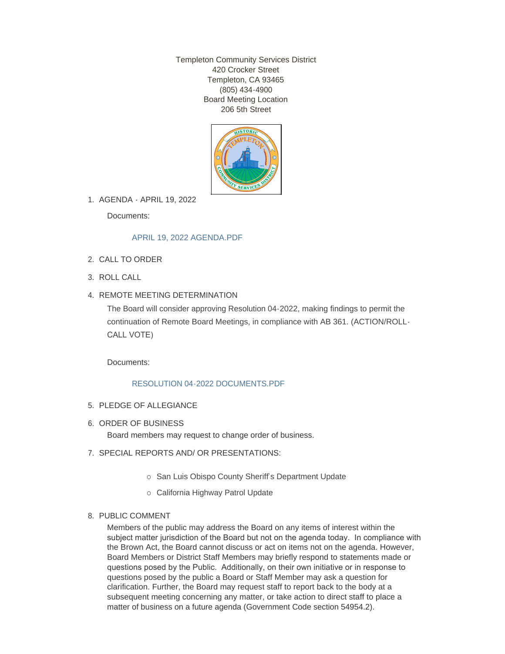Templeton Community Services District 420 Crocker Street Templeton, CA 93465 (805) 434-4900 Board Meeting Location 206 5th Street



AGENDA - APRIL 19, 2022 1.

Documents:

# [APRIL 19, 2022 AGENDA.PDF](http://templetoncsd.org/AgendaCenter/ViewFile/Item/4639?fileID=3234)

- 2. CALL TO ORDER
- ROLL CALL 3.
- 4. REMOTE MEETING DETERMINATION

The Board will consider approving Resolution 04-2022, making findings to permit the continuation of Remote Board Meetings, in compliance with AB 361. (ACTION/ROLL-CALL VOTE)

Documents:

### [RESOLUTION 04-2022 DOCUMENTS.PDF](http://templetoncsd.org/AgendaCenter/ViewFile/Item/4622?fileID=3226)

- 5. PLEDGE OF ALLEGIANCE
- 6. ORDER OF BUSINESS

Board members may request to change order of business.

- 7. SPECIAL REPORTS AND/ OR PRESENTATIONS:
	- o San Luis Obispo County Sheriff's Department Update
	- o California Highway Patrol Update

### 8. PUBLIC COMMENT

Members of the public may address the Board on any items of interest within the subject matter jurisdiction of the Board but not on the agenda today. In compliance with the Brown Act, the Board cannot discuss or act on items not on the agenda. However, Board Members or District Staff Members may briefly respond to statements made or questions posed by the Public. Additionally, on their own initiative or in response to questions posed by the public a Board or Staff Member may ask a question for clarification. Further, the Board may request staff to report back to the body at a subsequent meeting concerning any matter, or take action to direct staff to place a matter of business on a future agenda (Government Code section 54954.2).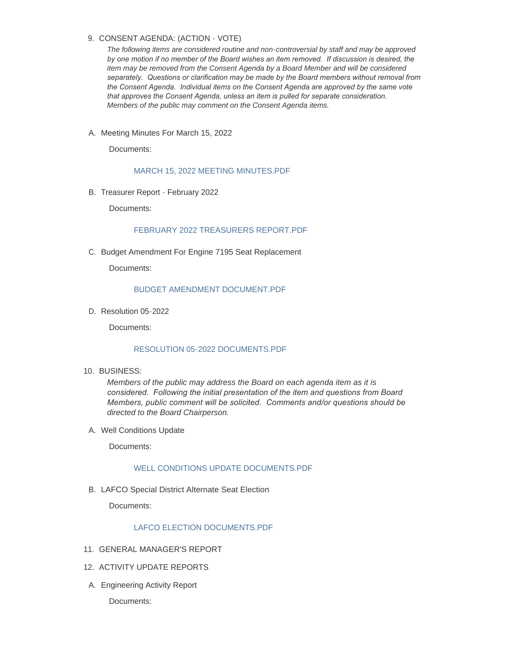# 9. CONSENT AGENDA: (ACTION - VOTE)

*The following items are considered routine and non-controversial by staff and may be approved by one motion if no member of the Board wishes an item removed. If discussion is desired, the item may be removed from the Consent Agenda by a Board Member and will be considered separately. Questions or clarification may be made by the Board members without removal from the Consent Agenda. Individual items on the Consent Agenda are approved by the same vote that approves the Consent Agenda, unless an item is pulled for separate consideration. Members of the public may comment on the Consent Agenda items.*

A. Meeting Minutes For March 15, 2022

Documents:

### [MARCH 15, 2022 MEETING MINUTES.PDF](http://templetoncsd.org/AgendaCenter/ViewFile/Item/4623?fileID=3201)

B. Treasurer Report - February 2022

Documents:

# [FEBRUARY 2022 TREASURERS REPORT.PDF](http://templetoncsd.org/AgendaCenter/ViewFile/Item/4629?fileID=3221)

C. Budget Amendment For Engine 7195 Seat Replacement

Documents:

#### [BUDGET AMENDMENT DOCUMENT.PDF](http://templetoncsd.org/AgendaCenter/ViewFile/Item/4627?fileID=3204)

D. Resolution 05-2022

Documents:

#### [RESOLUTION 05-2022 DOCUMENTS.PDF](http://templetoncsd.org/AgendaCenter/ViewFile/Item/4624?fileID=3225)

BUSINESS: 10.

*Members of the public may address the Board on each agenda item as it is considered. Following the initial presentation of the item and questions from Board Members, public comment will be solicited. Comments and/or questions should be directed to the Board Chairperson.*

A. Well Conditions Update

Documents:

# [WELL CONDITIONS UPDATE DOCUMENTS.PDF](http://templetoncsd.org/AgendaCenter/ViewFile/Item/4638?fileID=3233)

B. LAFCO Special District Alternate Seat Election

Documents:

# [LAFCO ELECTION DOCUMENTS.PDF](http://templetoncsd.org/AgendaCenter/ViewFile/Item/4630?fileID=3222)

- 11. GENERAL MANAGER'S REPORT
- 12. ACTIVITY UPDATE REPORTS
- A. Engineering Activity Report

Documents: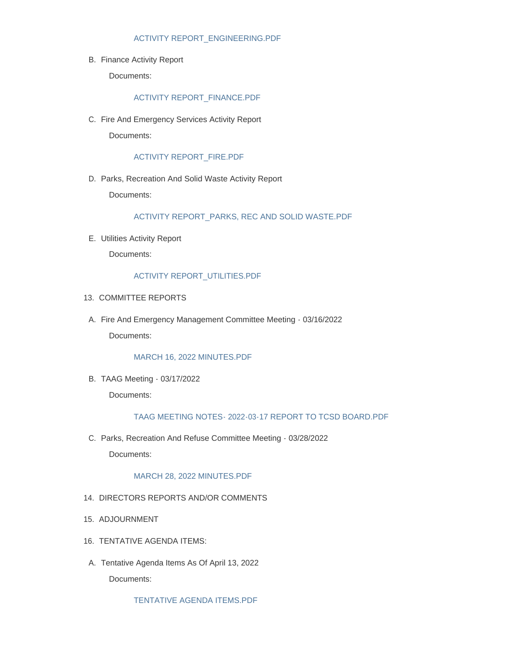### [ACTIVITY REPORT\\_ENGINEERING.PDF](http://templetoncsd.org/AgendaCenter/ViewFile/Item/4633?fileID=3227)

B. Finance Activity Report

Documents:

# [ACTIVITY REPORT\\_FINANCE.PDF](http://templetoncsd.org/AgendaCenter/ViewFile/Item/4634?fileID=3228)

C. Fire And Emergency Services Activity Report Documents:

#### [ACTIVITY REPORT\\_FIRE.PDF](http://templetoncsd.org/AgendaCenter/ViewFile/Item/4640?fileID=3235)

D. Parks, Recreation And Solid Waste Activity Report

Documents:

#### [ACTIVITY REPORT\\_PARKS, REC AND SOLID WASTE.PDF](http://templetoncsd.org/AgendaCenter/ViewFile/Item/4641?fileID=3236)

Utilities Activity Report E.

Documents:

#### [ACTIVITY REPORT\\_UTILITIES.PDF](http://templetoncsd.org/AgendaCenter/ViewFile/Item/4635?fileID=3229)

- 13. COMMITTEE REPORTS
- A. Fire And Emergency Management Committee Meeting 03/16/2022 Documents:

#### [MARCH 16, 2022 MINUTES.PDF](http://templetoncsd.org/AgendaCenter/ViewFile/Item/4631?fileID=3232)

TAAG Meeting - 03/17/2022 B. Documents:

### [TAAG MEETING NOTES- 2022-03-17 REPORT TO TCSD BOARD.PDF](http://templetoncsd.org/AgendaCenter/ViewFile/Item/4632?fileID=3224)

C. Parks, Recreation And Refuse Committee Meeting - 03/28/2022 Documents:

#### [MARCH 28, 2022 MINUTES.PDF](http://templetoncsd.org/AgendaCenter/ViewFile/Item/4636?fileID=3230)

- 14. DIRECTORS REPORTS AND/OR COMMENTS
- 15. ADJOURNMENT
- 16. TENTATIVE AGENDA ITEMS:
- A. Tentative Agenda Items As Of April 13, 2022 Documents:

[TENTATIVE AGENDA ITEMS.PDF](http://templetoncsd.org/AgendaCenter/ViewFile/Item/4637?fileID=3231)